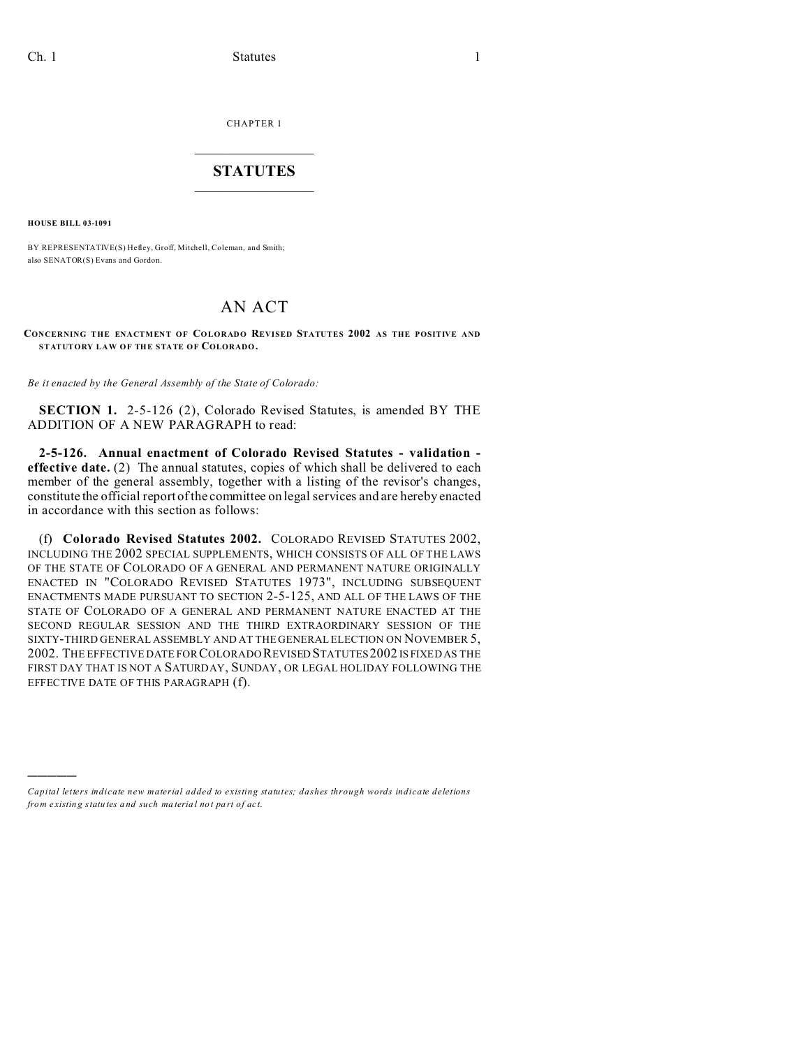CHAPTER 1  $\overline{\phantom{a}}$  , where  $\overline{\phantom{a}}$ 

## **STATUTES**  $\_$   $\_$

**HOUSE BILL 03-1091**

)))))

BY REPRESENTATIVE(S) Hefley, Groff, Mitchell, Coleman, and Smith; also SENATOR(S) Evans and Gordon.

## AN ACT

## **CONCERNING THE ENACTMENT OF COLORADO REVISED STATUTES 2002 AS THE POSITIVE AND STATUTORY LAW OF THE STATE OF COLORADO.**

*Be it enacted by the General Assembly of the State of Colorado:*

**SECTION 1.** 2-5-126 (2), Colorado Revised Statutes, is amended BY THE ADDITION OF A NEW PARAGRAPH to read:

**2-5-126. Annual enactment of Colorado Revised Statutes - validation effective date.** (2) The annual statutes, copies of which shall be delivered to each member of the general assembly, together with a listing of the revisor's changes, constitute the official report of the committee on legal services and are hereby enacted in accordance with this section as follows:

(f) **Colorado Revised Statutes 2002.** COLORADO REVISED STATUTES 2002, INCLUDING THE 2002 SPECIAL SUPPLEMENTS, WHICH CONSISTS OF ALL OF THE LAWS OF THE STATE OF COLORADO OF A GENERAL AND PERMANENT NATURE ORIGINALLY ENACTED IN "COLORADO REVISED STATUTES 1973", INCLUDING SUBSEQUENT ENACTMENTS MADE PURSUANT TO SECTION 2-5-125, AND ALL OF THE LAWS OF THE STATE OF COLORADO OF A GENERAL AND PERMANENT NATURE ENACTED AT THE SECOND REGULAR SESSION AND THE THIRD EXTRAORDINARY SESSION OF THE SIXTY-THIRD GENERAL ASSEMBLY AND AT THE GENERAL ELECTION ON NOVEMBER 5, 2002. THE EFFECTIVE DATE FOR COLORADO REVISED STATUTES 2002 IS FIXED AS THE FIRST DAY THAT IS NOT A SATURDAY, SUNDAY, OR LEGAL HOLIDAY FOLLOWING THE EFFECTIVE DATE OF THIS PARAGRAPH (f).

*Capital letters indicate new material added to existing statutes; dashes through words indicate deletions from e xistin g statu tes a nd such ma teria l no t pa rt of ac t.*